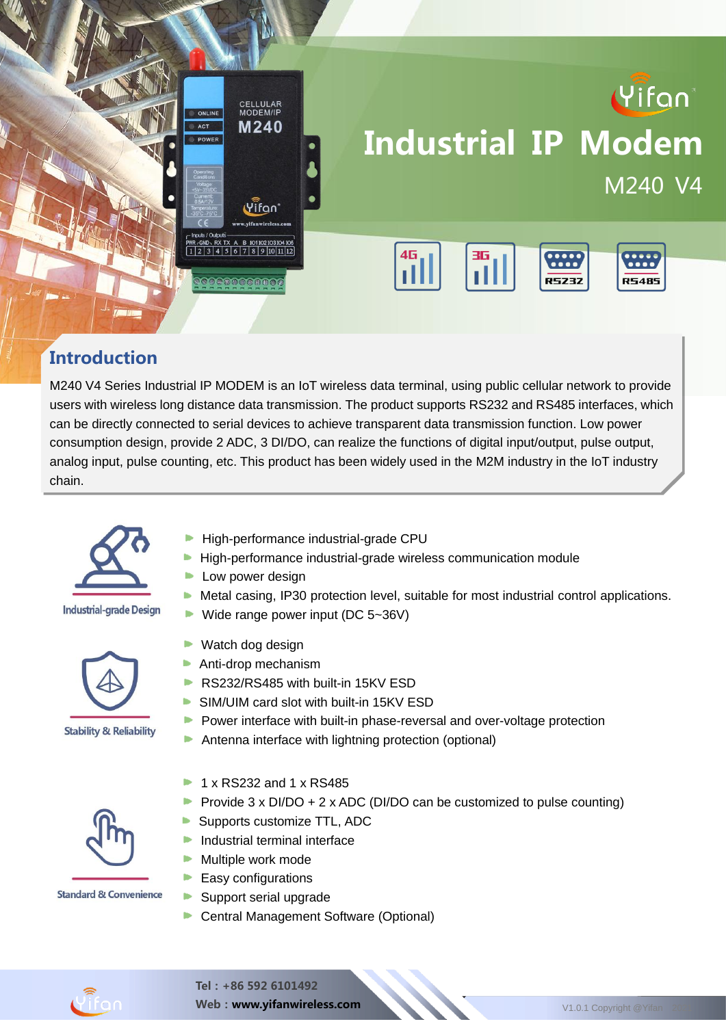

#### **Introduction**

M240 V4 Series Industrial IP MODEM is an IoT wireless data terminal, using public cellular network to provide users with wireless long distance data transmission. The product supports RS232 and RS485 interfaces, which can be directly connected to serial devices to achieve transparent data transmission function. Low power consumption design, provide 2 ADC, 3 DI/DO, can realize the functions of digital input/output, pulse output, analog input, pulse counting, etc. This product has been widely used in the M2M industry in the IoT industry chain.



#### **Industrial-grade Design**



- High-performance industrial-grade CPU
- **High-performance industrial-grade wireless communication module**
- **Low power design**
- $\blacktriangleright$  Metal casing, IP30 protection level, suitable for most industrial control applications.
- Wide range power input (DC  $5-36V$ )
- **Watch dog design Anti-drop mechanism** RS232/RS485 with built-in 15KV ESD
	- SIM/UIM card slot with built-in 15KV ESD
	- Power interface with built-in phase-reversal and over-voltage protection b.
	- $\blacktriangleright$ Antenna interface with lightning protection (optional)
	- 1 x RS232 and 1 x RS485
	- Provide 3 x DI/DO + 2 x ADC (DI/DO can be customized to pulse counting)
	- Supports customize TTL, ADC
	- **Industrial terminal interface**
	- **Multiple work mode**
	- $\blacktriangleright$  Easy configurations
	- Support serial upgrade
	- ▶ Central Management Software (Optional)





Web: www.yifanwireless.com V1.0.1 Copyright @Yifan 2021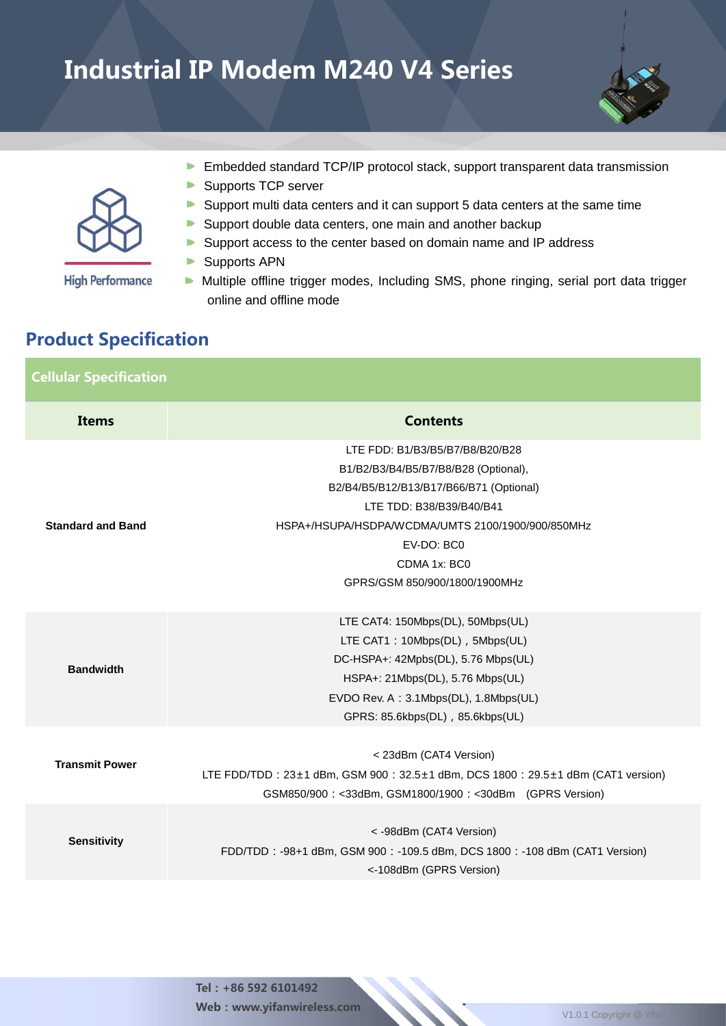

**High Performance** 

- **Embedded standard TCP/IP protocol stack, support transparent data transmission**
- $\blacktriangleright$  . Supports TCP server
- Support multi data centers and it can support 5 data centers at the same time
- Support double data centers, one main and another backup
- Þ. Support access to the center based on domain name and IP address
- **Supports APN**
- Multiple offline trigger modes, Including SMS, phone ringing, serial port data trigger online and offline mode

#### Product Specification

| <b>Cellular Specification</b> |                                                                                                                                                                                                                                                                    |  |  |  |  |
|-------------------------------|--------------------------------------------------------------------------------------------------------------------------------------------------------------------------------------------------------------------------------------------------------------------|--|--|--|--|
| <b>Items</b>                  | <b>Contents</b>                                                                                                                                                                                                                                                    |  |  |  |  |
| <b>Standard and Band</b>      | LTE FDD: B1/B3/B5/B7/B8/B20/B28<br>B1/B2/B3/B4/B5/B7/B8/B28 (Optional),<br>B2/B4/B5/B12/B13/B17/B66/B71 (Optional)<br>LTE TDD: B38/B39/B40/B41<br>HSPA+/HSUPA/HSDPA/WCDMA/UMTS 2100/1900/900/850MHz<br>EV-DO: BC0<br>CDMA 1x: BC0<br>GPRS/GSM 850/900/1800/1900MHz |  |  |  |  |
| <b>Bandwidth</b>              | LTE CAT4: 150Mbps(DL), 50Mbps(UL)<br>LTE CAT1: 10Mbps(DL), 5Mbps(UL)<br>DC-HSPA+: 42Mpbs(DL), 5.76 Mbps(UL)<br>HSPA+: 21Mbps(DL), 5.76 Mbps(UL)<br>EVDO Rev. A: 3.1Mbps(DL), 1.8Mbps(UL)<br>GPRS: 85.6kbps(DL), 85.6kbps(UL)                                       |  |  |  |  |
| <b>Transmit Power</b>         | < 23dBm (CAT4 Version)<br>LTE FDD/TDD: 23±1 dBm, GSM 900: 32.5±1 dBm, DCS 1800: 29.5±1 dBm (CAT1 version)<br>GSM850/900: <33dBm, GSM1800/1900: <30dBm (GPRS Version)                                                                                               |  |  |  |  |
| <b>Sensitivity</b>            | <- 98dBm (CAT4 Version)<br>FDD/TDD: -98+1 dBm, GSM 900: -109.5 dBm, DCS 1800: -108 dBm (CAT1 Version)<br><-108dBm (GPRS Version)                                                                                                                                   |  |  |  |  |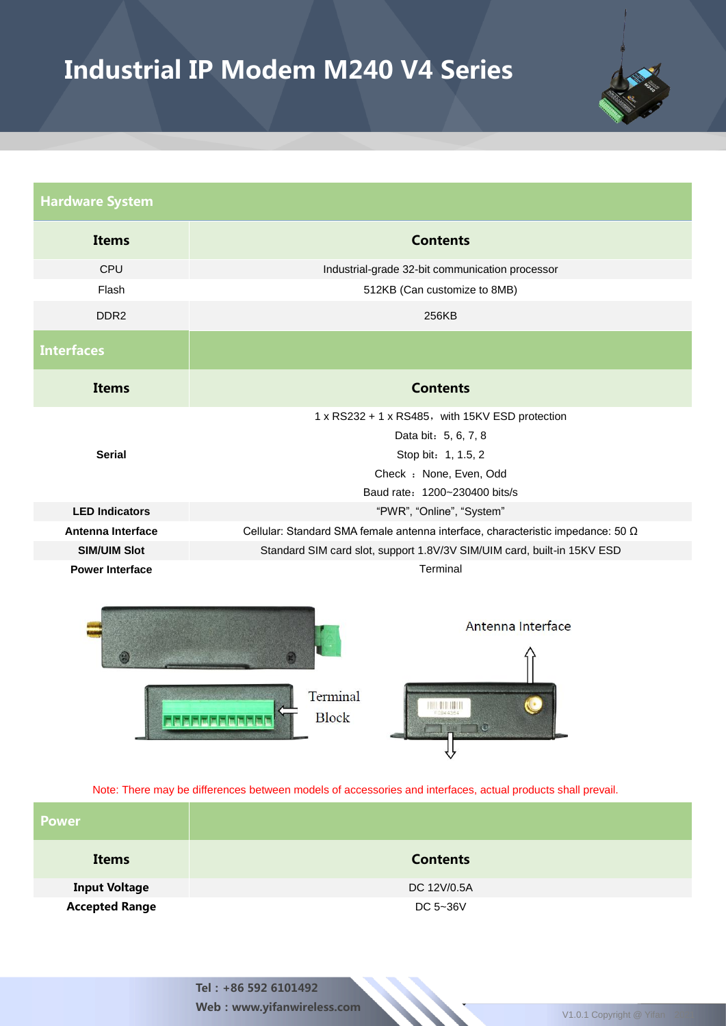

| <b>Hardware System</b>   |                                                                                                                                                            |  |  |  |  |  |
|--------------------------|------------------------------------------------------------------------------------------------------------------------------------------------------------|--|--|--|--|--|
| <b>Items</b>             | <b>Contents</b>                                                                                                                                            |  |  |  |  |  |
| CPU                      | Industrial-grade 32-bit communication processor                                                                                                            |  |  |  |  |  |
| Flash                    | 512KB (Can customize to 8MB)                                                                                                                               |  |  |  |  |  |
| DDR <sub>2</sub>         | 256KB                                                                                                                                                      |  |  |  |  |  |
| <b>Interfaces</b>        |                                                                                                                                                            |  |  |  |  |  |
| <b>Items</b>             | <b>Contents</b>                                                                                                                                            |  |  |  |  |  |
| <b>Serial</b>            | 1 x RS232 + 1 x RS485, with 15KV ESD protection<br>Data bit: 5, 6, 7, 8<br>Stop bit: 1, 1.5, 2<br>Check : None, Even, Odd<br>Baud rate: 1200~230400 bits/s |  |  |  |  |  |
| <b>LED Indicators</b>    | "PWR", "Online", "System"                                                                                                                                  |  |  |  |  |  |
| <b>Antenna Interface</b> | Cellular: Standard SMA female antenna interface, characteristic impedance: 50 Ω                                                                            |  |  |  |  |  |
| <b>SIM/UIM Slot</b>      | Standard SIM card slot, support 1.8V/3V SIM/UIM card, built-in 15KV ESD                                                                                    |  |  |  |  |  |
| <b>Power Interface</b>   | Terminal                                                                                                                                                   |  |  |  |  |  |
|                          | Antenna Interface                                                                                                                                          |  |  |  |  |  |





Note: There may be differences between models of accessories and interfaces, actual products shall prevail.

| <b>Power</b>          |                 |
|-----------------------|-----------------|
| <b>Items</b>          | <b>Contents</b> |
| <b>Input Voltage</b>  | DC 12V/0.5A     |
| <b>Accepted Range</b> | DC 5~36V        |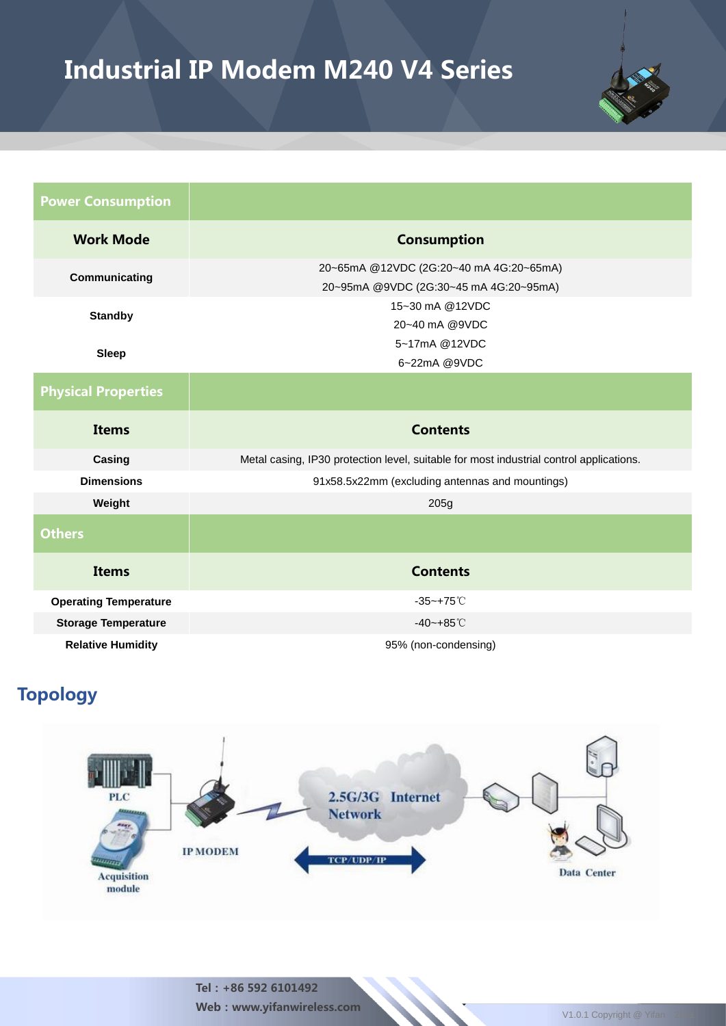

| <b>Power Consumption</b>     |                                                                                         |  |  |  |  |  |
|------------------------------|-----------------------------------------------------------------------------------------|--|--|--|--|--|
| <b>Work Mode</b>             | <b>Consumption</b>                                                                      |  |  |  |  |  |
| Communicating                | 20~65mA @12VDC (2G:20~40 mA 4G:20~65mA)<br>20~95mA @9VDC (2G:30~45 mA 4G:20~95mA)       |  |  |  |  |  |
| <b>Standby</b>               | 15~30 mA @12VDC<br>20~40 mA @9VDC                                                       |  |  |  |  |  |
| <b>Sleep</b>                 | 5~17mA @12VDC<br>6~22mA @9VDC                                                           |  |  |  |  |  |
| <b>Physical Properties</b>   |                                                                                         |  |  |  |  |  |
| <b>Items</b>                 | <b>Contents</b>                                                                         |  |  |  |  |  |
| Casing                       | Metal casing, IP30 protection level, suitable for most industrial control applications. |  |  |  |  |  |
| <b>Dimensions</b>            | 91x58.5x22mm (excluding antennas and mountings)                                         |  |  |  |  |  |
| Weight                       | 205g                                                                                    |  |  |  |  |  |
|                              |                                                                                         |  |  |  |  |  |
| <b>Others</b>                |                                                                                         |  |  |  |  |  |
| <b>Items</b>                 | <b>Contents</b>                                                                         |  |  |  |  |  |
| <b>Operating Temperature</b> | $-35 - +75^{\circ}$ C                                                                   |  |  |  |  |  |
| <b>Storage Temperature</b>   | $-40 - +85^{\circ}$ C                                                                   |  |  |  |  |  |

### Topology